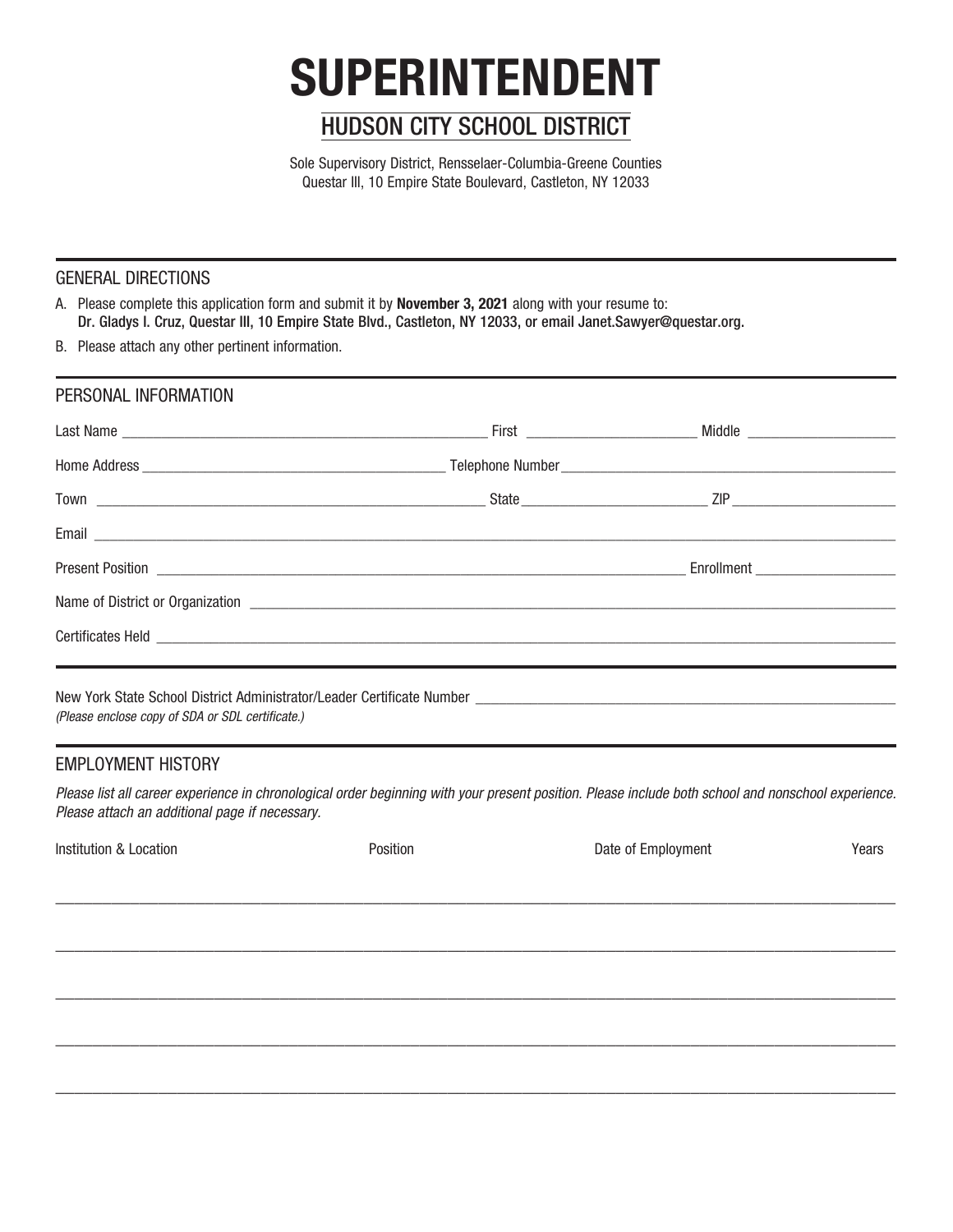# **SUPERINTENDENT**

## HUDSON CITY SCHOOL DISTRICT

Sole Supervisory District, Rensselaer-Columbia-Greene Counties Questar III, 10 Empire State Boulevard, Castleton, NY 12033

#### GENERAL DIRECTIONS

A. Please complete this application form and submit it by **November 3, 2021** along with your resume to: Dr. Gladys I. Cruz, Questar III, 10 Empire State Blvd., Castleton, NY 12033, or email Janet.Sawyer@questar.org.

B. Please attach any other pertinent information.

| PERSONAL INFORMATION |                                     |  |
|----------------------|-------------------------------------|--|
|                      |                                     |  |
|                      |                                     |  |
|                      |                                     |  |
|                      |                                     |  |
|                      | Enrollment ________________________ |  |
|                      |                                     |  |
|                      |                                     |  |
|                      |                                     |  |

New York State School District Administrator/Leader Certificate Number (Please enclose copy of SDA or SDL certificate.)

#### EMPLOYMENT HISTORY

Please list all career experience in chronological order beginning with your present position. Please include both school and nonschool experience. Please attach an additional page if necessary.

| Institution & Location | Position | Date of Employment | Years |  |
|------------------------|----------|--------------------|-------|--|
|                        |          |                    |       |  |
|                        |          |                    |       |  |
|                        |          |                    |       |  |
|                        |          |                    |       |  |
|                        |          |                    |       |  |
|                        |          |                    |       |  |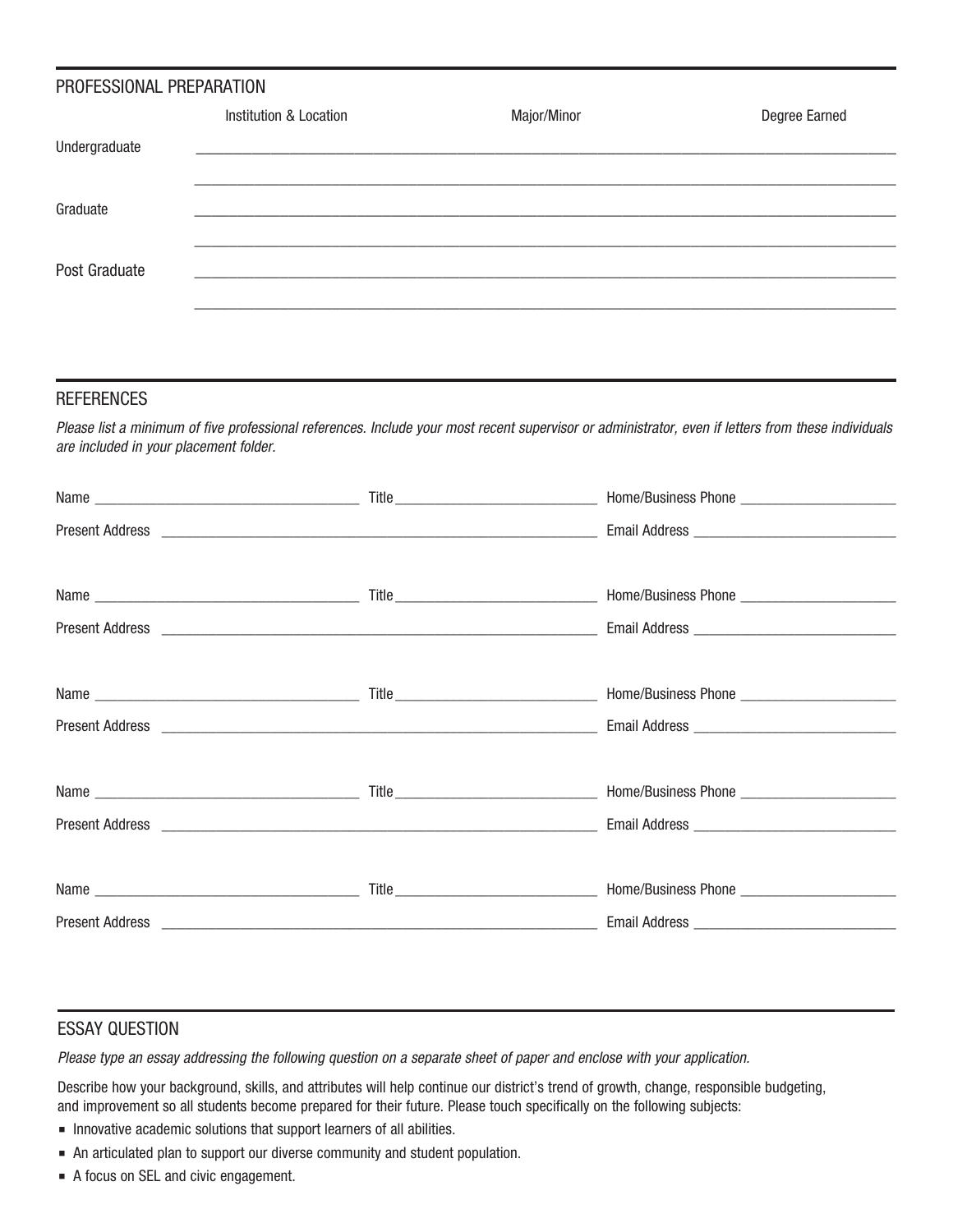| PROFESSIONAL PREPARATION |                        |             |               |  |  |
|--------------------------|------------------------|-------------|---------------|--|--|
|                          | Institution & Location | Major/Minor | Degree Earned |  |  |
| Undergraduate            |                        |             |               |  |  |
|                          |                        |             |               |  |  |
| Graduate                 |                        |             |               |  |  |
|                          |                        |             |               |  |  |
| Post Graduate            |                        |             |               |  |  |
|                          |                        |             |               |  |  |
|                          |                        |             |               |  |  |

#### **REFERENCES**

Please list a minimum of five professional references. Include your most recent supervisor or administrator, even if letters from these individuals are included in your placement folder.

#### ESSAY QUESTION

Please type an essay addressing the following question on a separate sheet of paper and enclose with your application.

Describe how your background, skills, and attributes will help continue our district's trend of growth, change, responsible budgeting, and improvement so all students become prepared for their future. Please touch specifically on the following subjects:

- Innovative academic solutions that support learners of all abilities.
- An articulated plan to support our diverse community and student population.
- A focus on SEL and civic engagement.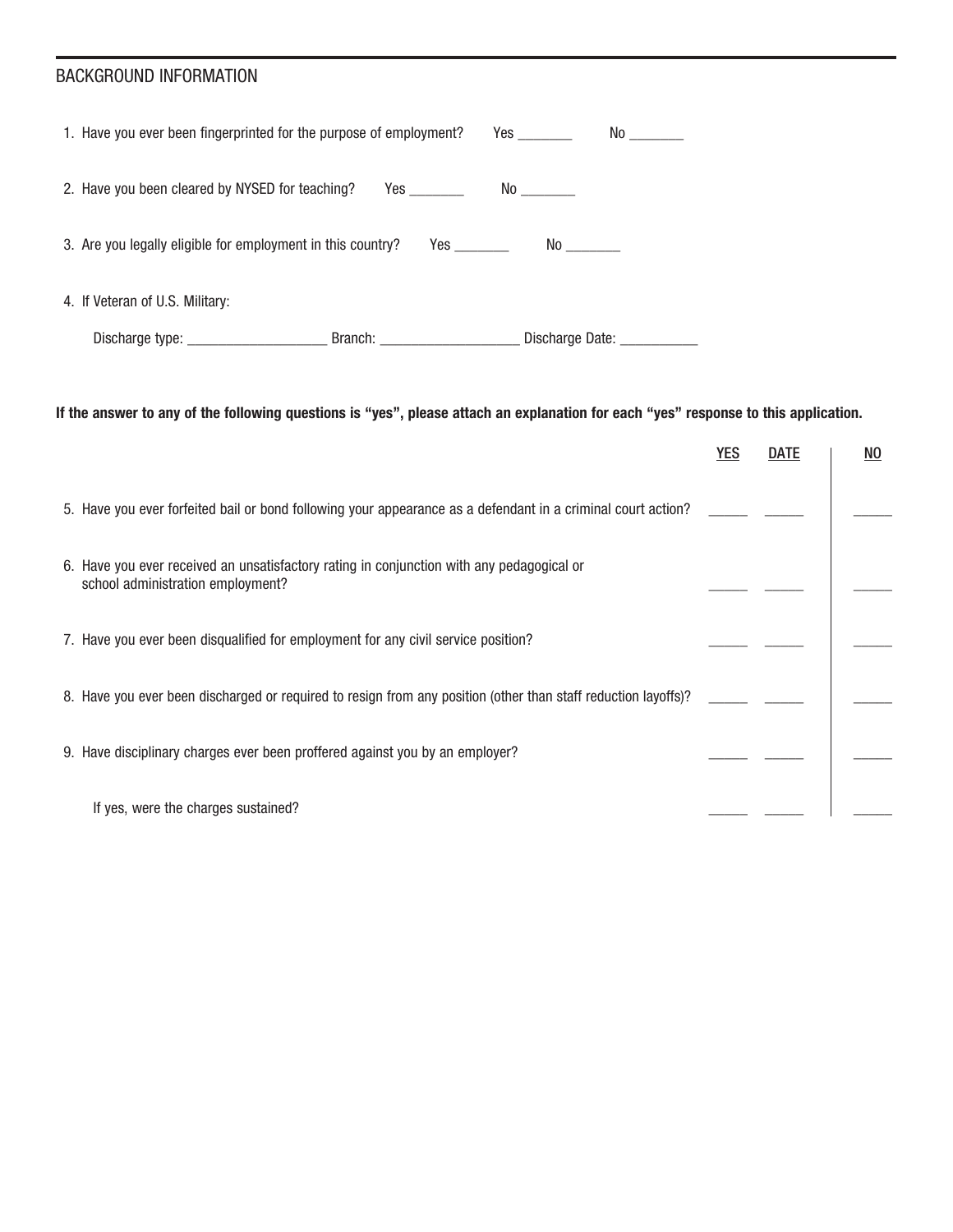### BACKGROUND INFORMATION

| 1. Have you ever been fingerprinted for the purpose of employment?                      |                         | Yes          | No contract the set of the set of the set of the set of the set of the set of the set of the set of the set of the set of the set of the set of the set of the set of the set of the set of the set of the set of the set of t |  |
|-----------------------------------------------------------------------------------------|-------------------------|--------------|--------------------------------------------------------------------------------------------------------------------------------------------------------------------------------------------------------------------------------|--|
| 2. Have you been cleared by NYSED for teaching?                                         |                         | No _________ |                                                                                                                                                                                                                                |  |
| 3. Are you legally eligible for employment in this country?<br>Yes $\rule{1em}{0.15mm}$ |                         |              |                                                                                                                                                                                                                                |  |
| 4. If Veteran of U.S. Military:                                                         |                         |              |                                                                                                                                                                                                                                |  |
|                                                                                         | Branch: Discharge Date: |              |                                                                                                                                                                                                                                |  |

**If the answer to any of the following questions is "yes", please attach an explanation for each "yes" response to this application.**

|                                                                                                                                | <b>YES</b> | <b>DATE</b> | NO. |
|--------------------------------------------------------------------------------------------------------------------------------|------------|-------------|-----|
| 5. Have you ever forfeited bail or bond following your appearance as a defendant in a criminal court action?                   |            |             |     |
| 6. Have you ever received an unsatisfactory rating in conjunction with any pedagogical or<br>school administration employment? |            |             |     |
| 7. Have you ever been disqualified for employment for any civil service position?                                              |            |             |     |
| 8. Have you ever been discharged or required to resign from any position (other than staff reduction layoffs)?                 |            |             |     |
| 9. Have disciplinary charges ever been proffered against you by an employer?                                                   |            |             |     |
| If yes, were the charges sustained?                                                                                            |            |             |     |